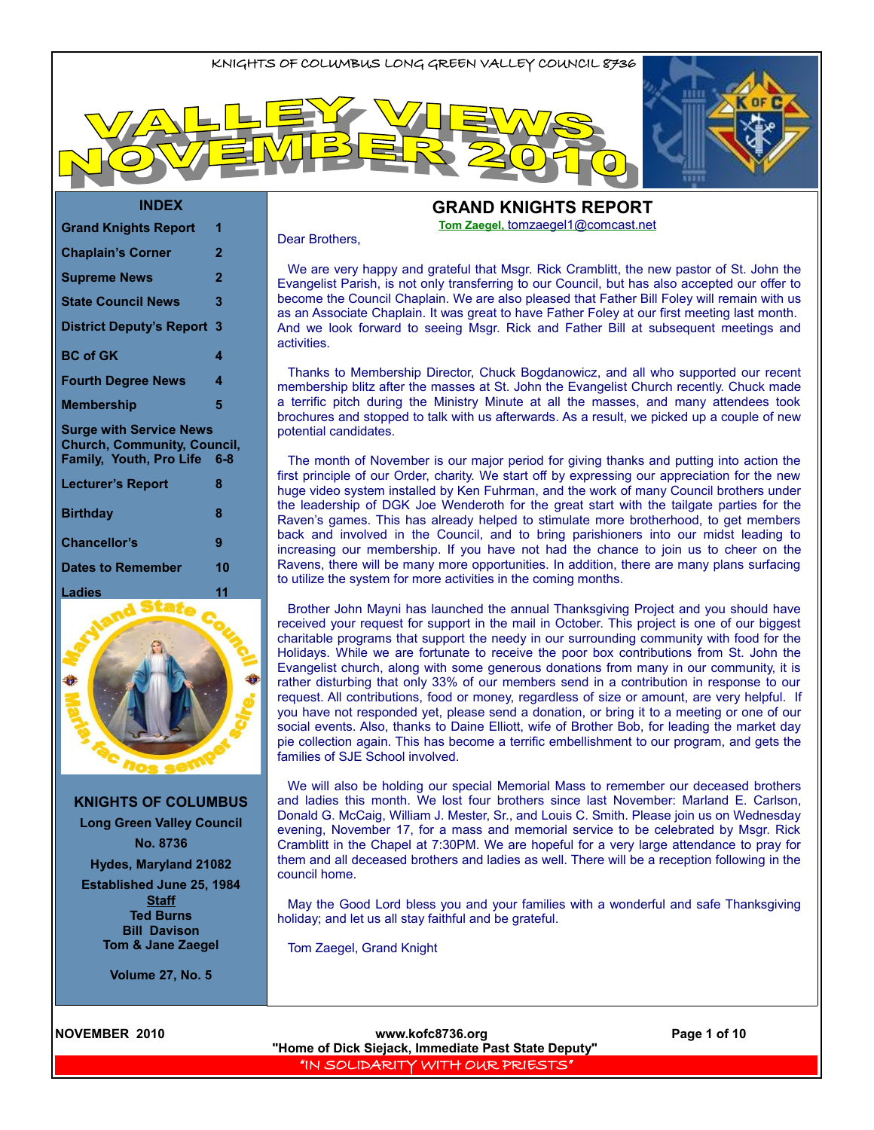

#### **INDEX**

| <b>Grand Knights Report</b>                                                                     | 1              |
|-------------------------------------------------------------------------------------------------|----------------|
| <b>Chaplain's Corner</b>                                                                        | 2              |
| <b>Supreme News</b>                                                                             | $\overline{2}$ |
| <b>State Council News</b>                                                                       | 3              |
| <b>District Deputy's Report</b>                                                                 | 3              |
| <b>BC</b> of GK                                                                                 | 4              |
| <b>Fourth Degree News</b>                                                                       | 4              |
| Membership                                                                                      | 5              |
| <b>Surge with Service News</b><br><b>Church, Community, Council,</b><br>Family, Youth, Pro Life | 6-8            |
| <b>Lecturer's Report</b>                                                                        | 8              |
| <b>Birthday</b>                                                                                 | 8              |
| <b>Chancellor's</b>                                                                             | 9              |
| Dates to Remember                                                                               | 10             |
|                                                                                                 |                |



**KNIGHTS OF COLUMBUS**

**Long Green Valley Council No. 8736**

**Hydes, Maryland 21082**

**Established June 25, 1984**

**Staff Ted Burns Bill Davison Tom & Jane Zaegel**

**Volume 27, No. 5**

**GRAND KNIGHTS REPORT Tom Zaegel,** [tomzaegel1@comcast.net](mailto:tomzaegel1@comcast.net)

#### Dear Brothers,

We are very happy and grateful that Msgr. Rick Cramblitt, the new pastor of St. John the Evangelist Parish, is not only transferring to our Council, but has also accepted our offer to become the Council Chaplain. We are also pleased that Father Bill Foley will remain with us as an Associate Chaplain. It was great to have Father Foley at our first meeting last month. And we look forward to seeing Msgr. Rick and Father Bill at subsequent meetings and activities.

Thanks to Membership Director, Chuck Bogdanowicz, and all who supported our recent membership blitz after the masses at St. John the Evangelist Church recently. Chuck made a terrific pitch during the Ministry Minute at all the masses, and many attendees took brochures and stopped to talk with us afterwards. As a result, we picked up a couple of new potential candidates.

The month of November is our major period for giving thanks and putting into action the first principle of our Order, charity. We start off by expressing our appreciation for the new huge video system installed by Ken Fuhrman, and the work of many Council brothers under the leadership of DGK Joe Wenderoth for the great start with the tailgate parties for the Raven's games. This has already helped to stimulate more brotherhood, to get members back and involved in the Council, and to bring parishioners into our midst leading to increasing our membership. If you have not had the chance to join us to cheer on the Ravens, there will be many more opportunities. In addition, there are many plans surfacing to utilize the system for more activities in the coming months.

Brother John Mayni has launched the annual Thanksgiving Project and you should have received your request for support in the mail in October. This project is one of our biggest charitable programs that support the needy in our surrounding community with food for the Holidays. While we are fortunate to receive the poor box contributions from St. John the Evangelist church, along with some generous donations from many in our community, it is rather disturbing that only 33% of our members send in a contribution in response to our request. All contributions, food or money, regardless of size or amount, are very helpful. If you have not responded yet, please send a donation, or bring it to a meeting or one of our social events. Also, thanks to Daine Elliott, wife of Brother Bob, for leading the market day pie collection again. This has become a terrific embellishment to our program, and gets the families of SJE School involved.

We will also be holding our special Memorial Mass to remember our deceased brothers and ladies this month. We lost four brothers since last November: Marland E. Carlson, Donald G. McCaig, William J. Mester, Sr., and Louis C. Smith. Please join us on Wednesday evening, November 17, for a mass and memorial service to be celebrated by Msgr. Rick Cramblitt in the Chapel at 7:30PM. We are hopeful for a very large attendance to pray for them and all deceased brothers and ladies as well. There will be a reception following in the council home.

May the Good Lord bless you and your families with a wonderful and safe Thanksgiving holiday; and let us all stay faithful and be grateful.

Tom Zaegel, Grand Knight

**NOVEMBER 2010 www.kofc8736.org Page 1 of 10 "Home of Dick Siejack, Immediate Past State Deputy"**  "IN SOLIDARITY WITH OUR PRIESTS"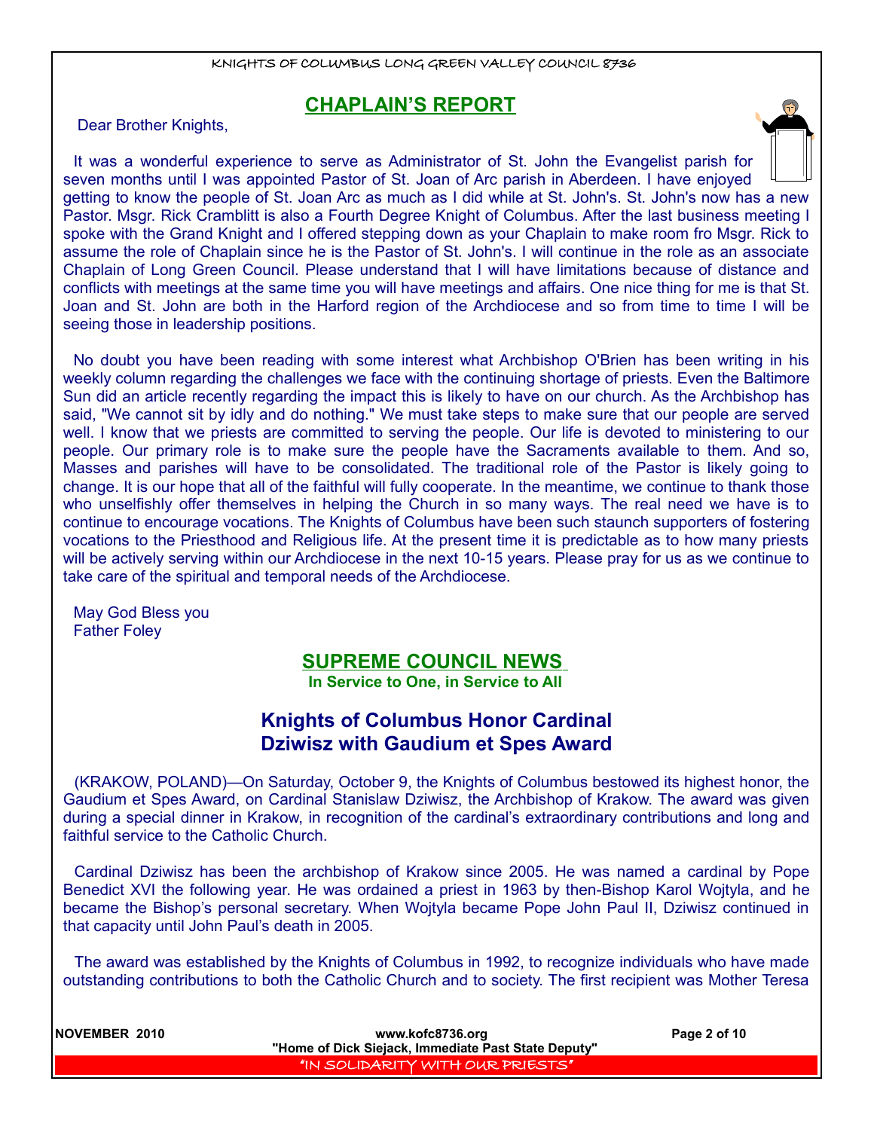### **CHAPLAIN'S REPORT**

Dear Brother Knights,

It was a wonderful experience to serve as Administrator of St. John the Evangelist parish for seven months until I was appointed Pastor of St. Joan of Arc parish in Aberdeen. I have enjoyed getting to know the people of St. Joan Arc as much as I did while at St. John's. St. John's now has a new Pastor. Msgr. Rick Cramblitt is also a Fourth Degree Knight of Columbus. After the last business meeting I spoke with the Grand Knight and I offered stepping down as your Chaplain to make room fro Msgr. Rick to assume the role of Chaplain since he is the Pastor of St. John's. I will continue in the role as an associate Chaplain of Long Green Council. Please understand that I will have limitations because of distance and conflicts with meetings at the same time you will have meetings and affairs. One nice thing for me is that St. Joan and St. John are both in the Harford region of the Archdiocese and so from time to time I will be seeing those in leadership positions.

No doubt you have been reading with some interest what Archbishop O'Brien has been writing in his weekly column regarding the challenges we face with the continuing shortage of priests. Even the Baltimore Sun did an article recently regarding the impact this is likely to have on our church. As the Archbishop has said, "We cannot sit by idly and do nothing." We must take steps to make sure that our people are served well. I know that we priests are committed to serving the people. Our life is devoted to ministering to our people. Our primary role is to make sure the people have the Sacraments available to them. And so, Masses and parishes will have to be consolidated. The traditional role of the Pastor is likely going to change. It is our hope that all of the faithful will fully cooperate. In the meantime, we continue to thank those who unselfishly offer themselves in helping the Church in so many ways. The real need we have is to continue to encourage vocations. The Knights of Columbus have been such staunch supporters of fostering vocations to the Priesthood and Religious life. At the present time it is predictable as to how many priests will be actively serving within our Archdiocese in the next 10-15 years. Please pray for us as we continue to take care of the spiritual and temporal needs of the Archdiocese.

May God Bless you Father Foley

#### **SUPREME COUNCIL NEWS**

**In Service to One, in Service to All** 

### **Knights of Columbus Honor Cardinal Dziwisz with Gaudium et Spes Award**

(KRAKOW, POLAND)—On Saturday, October 9, the Knights of Columbus bestowed its highest honor, the Gaudium et Spes Award, on Cardinal Stanislaw Dziwisz, the Archbishop of Krakow. The award was given during a special dinner in Krakow, in recognition of the cardinal's extraordinary contributions and long and faithful service to the Catholic Church.

Cardinal Dziwisz has been the archbishop of Krakow since 2005. He was named a cardinal by Pope Benedict XVI the following year. He was ordained a priest in 1963 by then-Bishop Karol Wojtyla, and he became the Bishop's personal secretary. When Wojtyla became Pope John Paul II, Dziwisz continued in that capacity until John Paul's death in 2005.

The award was established by the Knights of Columbus in 1992, to recognize individuals who have made outstanding contributions to both the Catholic Church and to society. The first recipient was Mother Teresa

**NOVEMBER 2010 www.kofc8736.org Page 2 of 10 "Home of Dick Siejack, Immediate Past State Deputy"**  "IN SOLIDARITY WITH OUR PRIESTS"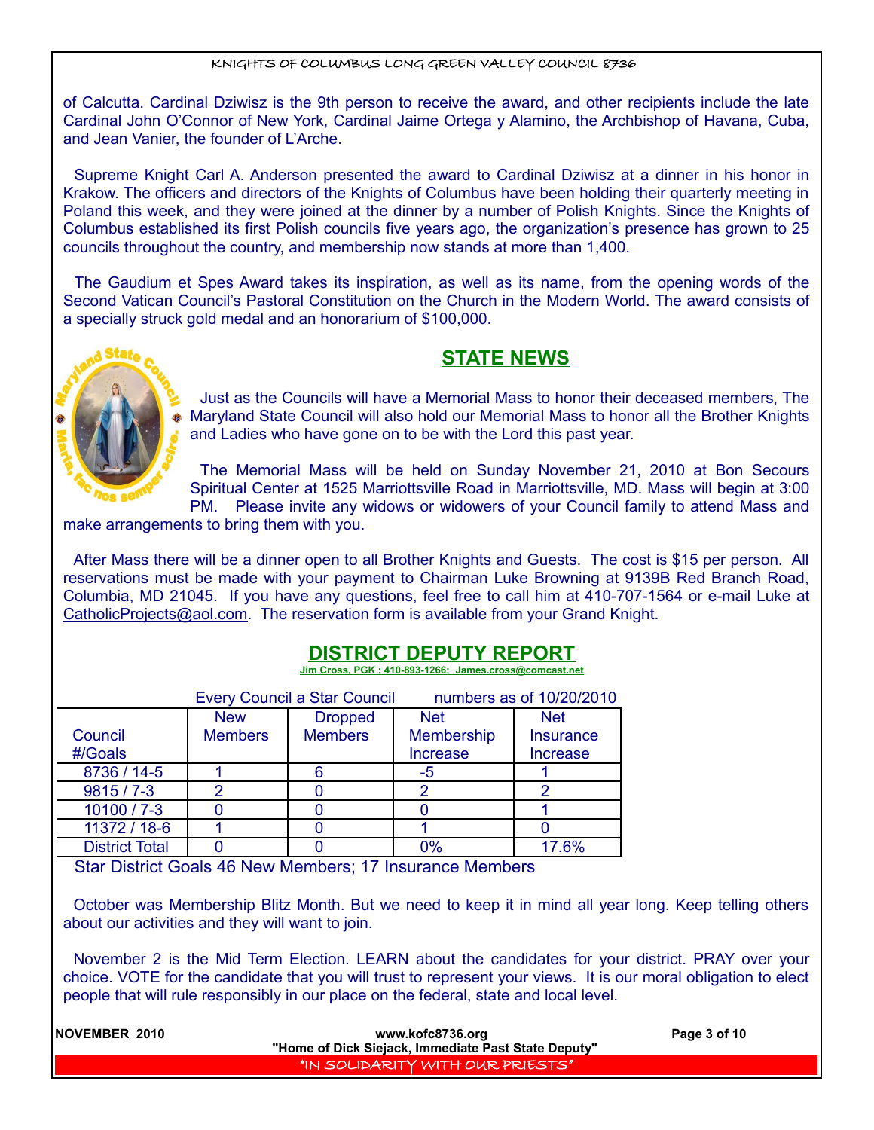of Calcutta. Cardinal Dziwisz is the 9th person to receive the award, and other recipients include the late Cardinal John O'Connor of New York, Cardinal Jaime Ortega y Alamino, the Archbishop of Havana, Cuba, and Jean Vanier, the founder of L'Arche.

Supreme Knight Carl A. Anderson presented the award to Cardinal Dziwisz at a dinner in his honor in Krakow. The officers and directors of the Knights of Columbus have been holding their quarterly meeting in Poland this week, and they were joined at the dinner by a number of Polish Knights. Since the Knights of Columbus established its first Polish councils five years ago, the organization's presence has grown to 25 councils throughout the country, and membership now stands at more than 1,400.

The Gaudium et Spes Award takes its inspiration, as well as its name, from the opening words of the Second Vatican Council's Pastoral Constitution on the Church in the Modern World. The award consists of a specially struck gold medal and an honorarium of \$100,000.



### **STATE NEWS**

Just as the Councils will have a Memorial Mass to honor their deceased members, The Maryland State Council will also hold our Memorial Mass to honor all the Brother Knights and Ladies who have gone on to be with the Lord this past year.

The Memorial Mass will be held on Sunday November 21, 2010 at Bon Secours Spiritual Center at 1525 Marriottsville Road in Marriottsville, MD. Mass will begin at 3:00 PM. Please invite any widows or widowers of your Council family to attend Mass and

make arrangements to bring them with you.

After Mass there will be a dinner open to all Brother Knights and Guests. The cost is \$15 per person. All reservations must be made with your payment to Chairman Luke Browning at 9139B Red Branch Road, Columbia, MD 21045. If you have any questions, feel free to call him at 410-707-1564 or e-mail Luke at [CatholicProjects@aol.com.](mailto:CatholicProjects@aol.com) The reservation form is available from your Grand Knight.

## **DISTRICT DEPUTY REPORT**

 **Jim Cross, PGK ; 410-893-1266; James.cross@comcast.net**

|                       | <b>Every Council a Star Council</b> |                |                 | numbers as of 10/20/2010 |  |
|-----------------------|-------------------------------------|----------------|-----------------|--------------------------|--|
|                       | <b>New</b>                          | <b>Dropped</b> | <b>Net</b>      | <b>Net</b>               |  |
| Council               | <b>Members</b>                      | <b>Members</b> | Membership      | <b>Insurance</b>         |  |
| #/Goals               |                                     |                | <b>Increase</b> | <b>Increase</b>          |  |
| 8736 / 14-5           |                                     | Բ              | -5              |                          |  |
| $9815/7 - 3$          |                                     |                |                 |                          |  |
| 10100 / 7-3           |                                     |                |                 |                          |  |
| 11372 / 18-6          |                                     |                |                 |                          |  |
| <b>District Total</b> |                                     |                | 0%              | 17.6%                    |  |

Star District Goals 46 New Members; 17 Insurance Members

October was Membership Blitz Month. But we need to keep it in mind all year long. Keep telling others about our activities and they will want to join.

November 2 is the Mid Term Election. LEARN about the candidates for your district. PRAY over your choice. VOTE for the candidate that you will trust to represent your views. It is our moral obligation to elect people that will rule responsibly in our place on the federal, state and local level.

| <b>INOVEMBER 2010</b> | www.kofc8736.org                                    | Page 3 of 10 |
|-----------------------|-----------------------------------------------------|--------------|
|                       | "Home of Dick Siejack, Immediate Past State Deputy" |              |
|                       | "IN SOLIDARITY WITH OUR PRIESTS"                    |              |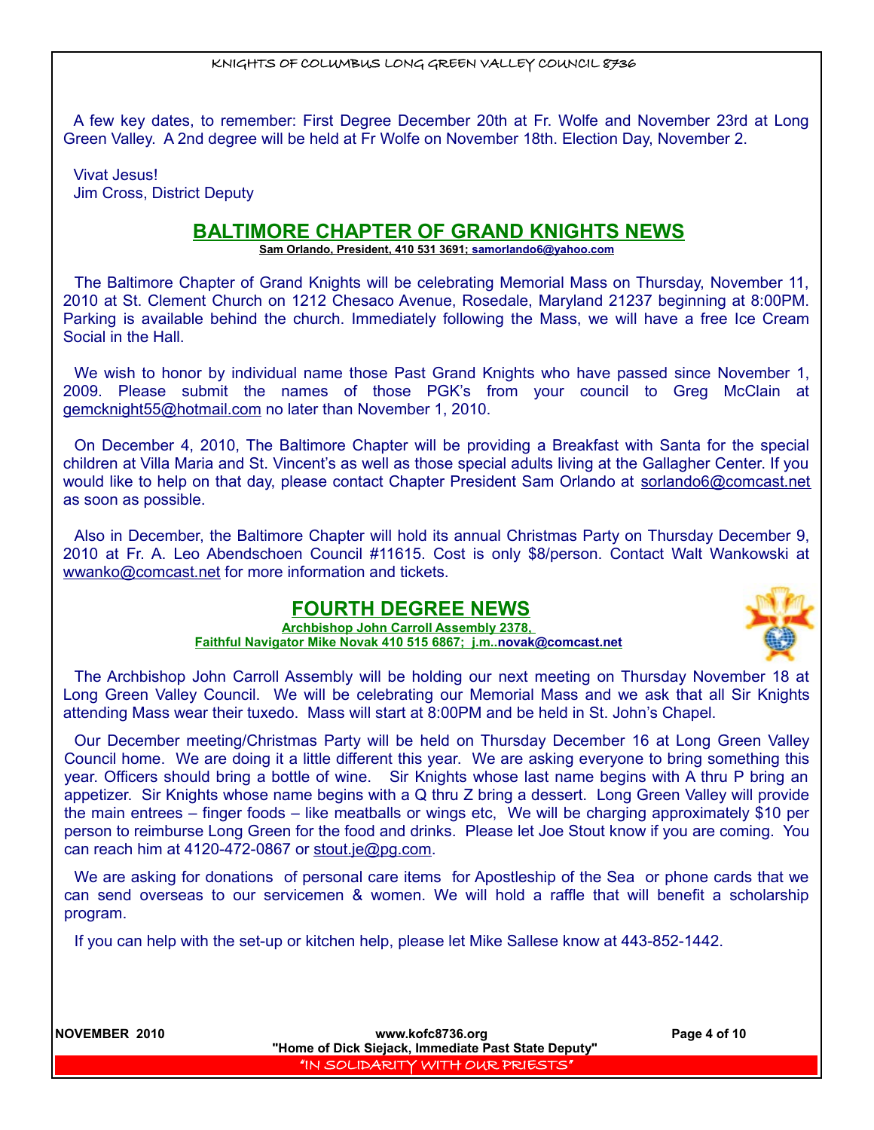A few key dates, to remember: First Degree December 20th at Fr. Wolfe and November 23rd at Long Green Valley. A 2nd degree will be held at Fr Wolfe on November 18th. Election Day, November 2.

Vivat Jesus! Jim Cross, District Deputy

### **BALTIMORE CHAPTER OF GRAND KNIGHTS NEWS**

 **Sam Orlando, President, 410 531 3691; [samorlando6@yahoo.com](mailto:samorlando6@yahoo.com)**

The Baltimore Chapter of Grand Knights will be celebrating Memorial Mass on Thursday, November 11, 2010 at St. Clement Church on 1212 Chesaco Avenue, Rosedale, Maryland 21237 beginning at 8:00PM. Parking is available behind the church. Immediately following the Mass, we will have a free Ice Cream Social in the Hall.

We wish to honor by individual name those Past Grand Knights who have passed since November 1, 2009. Please submit the names of those PGK's from your council to Greg McClain at gemcknight55@hotmail.com no later than November 1, 2010.

On December 4, 2010, The Baltimore Chapter will be providing a Breakfast with Santa for the special children at Villa Maria and St. Vincent's as well as those special adults living at the Gallagher Center. If you would like to help on that day, please contact Chapter President Sam Orlando at sorlando6@comcast.net as soon as possible.

Also in December, the Baltimore Chapter will hold its annual Christmas Party on Thursday December 9, 2010 at Fr. A. Leo Abendschoen Council #11615. Cost is only \$8/person. Contact Walt Wankowski at wwanko@comcast.net for more information and tickets.

### **FOURTH DEGREE NEWS**

**Archbishop John Carroll Assembly 2378, Faithful Navigator Mike Novak 410 515 6867; j.m.[. novak@comcast.net](mailto:novak@comcast.net)**



The Archbishop John Carroll Assembly will be holding our next meeting on Thursday November 18 at Long Green Valley Council. We will be celebrating our Memorial Mass and we ask that all Sir Knights attending Mass wear their tuxedo. Mass will start at 8:00PM and be held in St. John's Chapel.

Our December meeting/Christmas Party will be held on Thursday December 16 at Long Green Valley Council home. We are doing it a little different this year. We are asking everyone to bring something this year. Officers should bring a bottle of wine. Sir Knights whose last name begins with A thru P bring an appetizer. Sir Knights whose name begins with a Q thru Z bring a dessert. Long Green Valley will provide the main entrees – finger foods – like meatballs or wings etc, We will be charging approximately \$10 per person to reimburse Long Green for the food and drinks. Please let Joe Stout know if you are coming. You can reach him at 4120-472-0867 or [stout.je@pg.com.](mailto:stout.je@pg.com)

We are asking for donations of personal care items for Apostleship of the Sea or phone cards that we can send overseas to our servicemen & women. We will hold a raffle that will benefit a scholarship program.

If you can help with the set-up or kitchen help, please let Mike Sallese know at 443-852-1442.

**NOVEMBER 2010 www.kofc8736.org Page 4 of 10 "Home of Dick Siejack, Immediate Past State Deputy"**  "IN SOLIDARITY WITH OUR PRIESTS"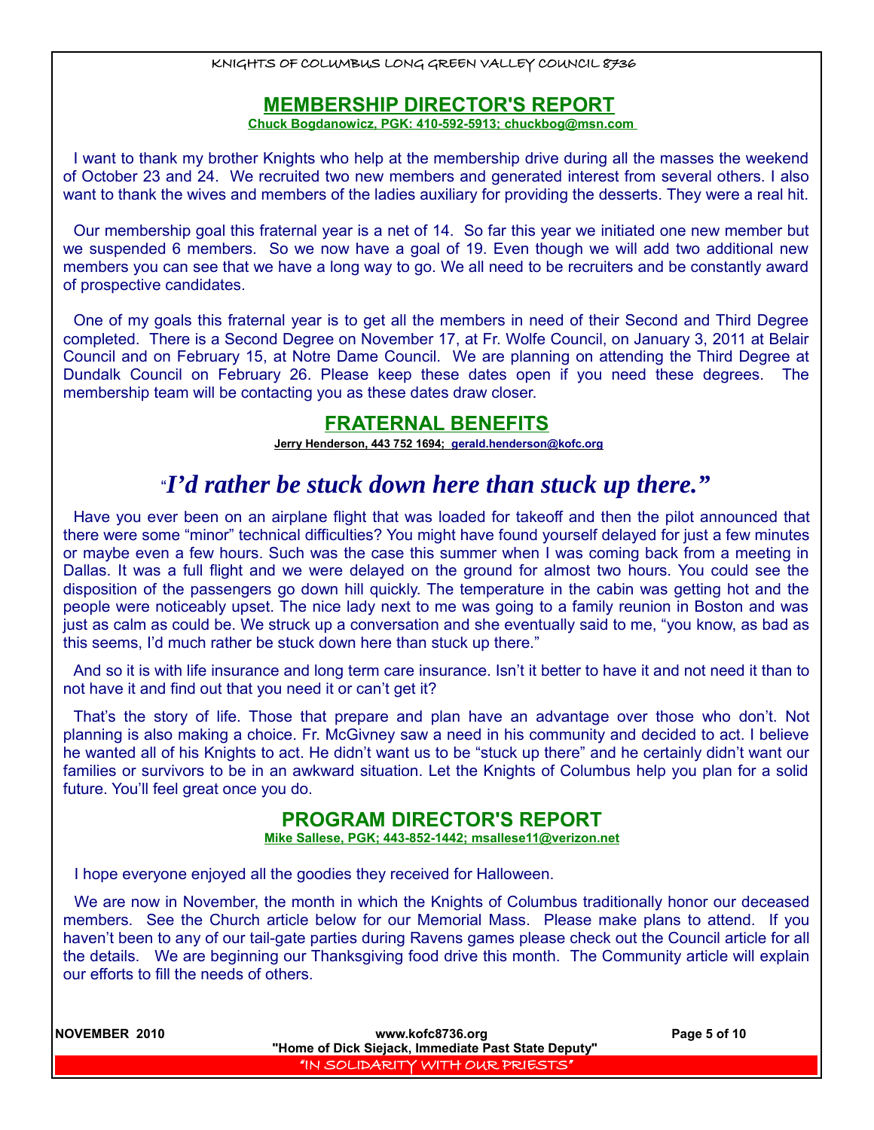### **MEMBERSHIP DIRECTOR'S REPORT**

 **Chuck Bogdanowicz, PGK: 410-592-5913; chuckbog@msn.com** 

I want to thank my brother Knights who help at the membership drive during all the masses the weekend of October 23 and 24. We recruited two new members and generated interest from several others. I also want to thank the wives and members of the ladies auxiliary for providing the desserts. They were a real hit.

Our membership goal this fraternal year is a net of 14. So far this year we initiated one new member but we suspended 6 members. So we now have a goal of 19. Even though we will add two additional new members you can see that we have a long way to go. We all need to be recruiters and be constantly award of prospective candidates.

One of my goals this fraternal year is to get all the members in need of their Second and Third Degree completed. There is a Second Degree on November 17, at Fr. Wolfe Council, on January 3, 2011 at Belair Council and on February 15, at Notre Dame Council. We are planning on attending the Third Degree at Dundalk Council on February 26. Please keep these dates open if you need these degrees. The membership team will be contacting you as these dates draw closer.

### **FRATERNAL BENEFITS**

 **Jerry Henderson, 443 752 1694; [gerald.henderson@kofc.org](mailto:gerald.henderson@kofc.org)**

# "*I'd rather be stuck down here than stuck up there."*

Have you ever been on an airplane flight that was loaded for takeoff and then the pilot announced that there were some "minor" technical difficulties? You might have found yourself delayed for just a few minutes or maybe even a few hours. Such was the case this summer when I was coming back from a meeting in Dallas. It was a full flight and we were delayed on the ground for almost two hours. You could see the disposition of the passengers go down hill quickly. The temperature in the cabin was getting hot and the people were noticeably upset. The nice lady next to me was going to a family reunion in Boston and was just as calm as could be. We struck up a conversation and she eventually said to me, "you know, as bad as this seems, I'd much rather be stuck down here than stuck up there."

And so it is with life insurance and long term care insurance. Isn't it better to have it and not need it than to not have it and find out that you need it or can't get it?

That's the story of life. Those that prepare and plan have an advantage over those who don't. Not planning is also making a choice. Fr. McGivney saw a need in his community and decided to act. I believe he wanted all of his Knights to act. He didn't want us to be "stuck up there" and he certainly didn't want our families or survivors to be in an awkward situation. Let the Knights of Columbus help you plan for a solid future. You'll feel great once you do.

### **PROGRAM DIRECTOR'S REPORT**

 **Mike Sallese, PGK; 443-852-1442; msallese11@verizon.net**

I hope everyone enjoyed all the goodies they received for Halloween.

We are now in November, the month in which the Knights of Columbus traditionally honor our deceased members. See the Church article below for our Memorial Mass. Please make plans to attend. If you haven't been to any of our tail-gate parties during Ravens games please check out the Council article for all the details. We are beginning our Thanksgiving food drive this month. The Community article will explain our efforts to fill the needs of others.

**NOVEMBER 2010 www.kofc8736.org Page 5 of 10 "Home of Dick Siejack, Immediate Past State Deputy"**  "IN SOLIDARITY WITH OUR PRIESTS"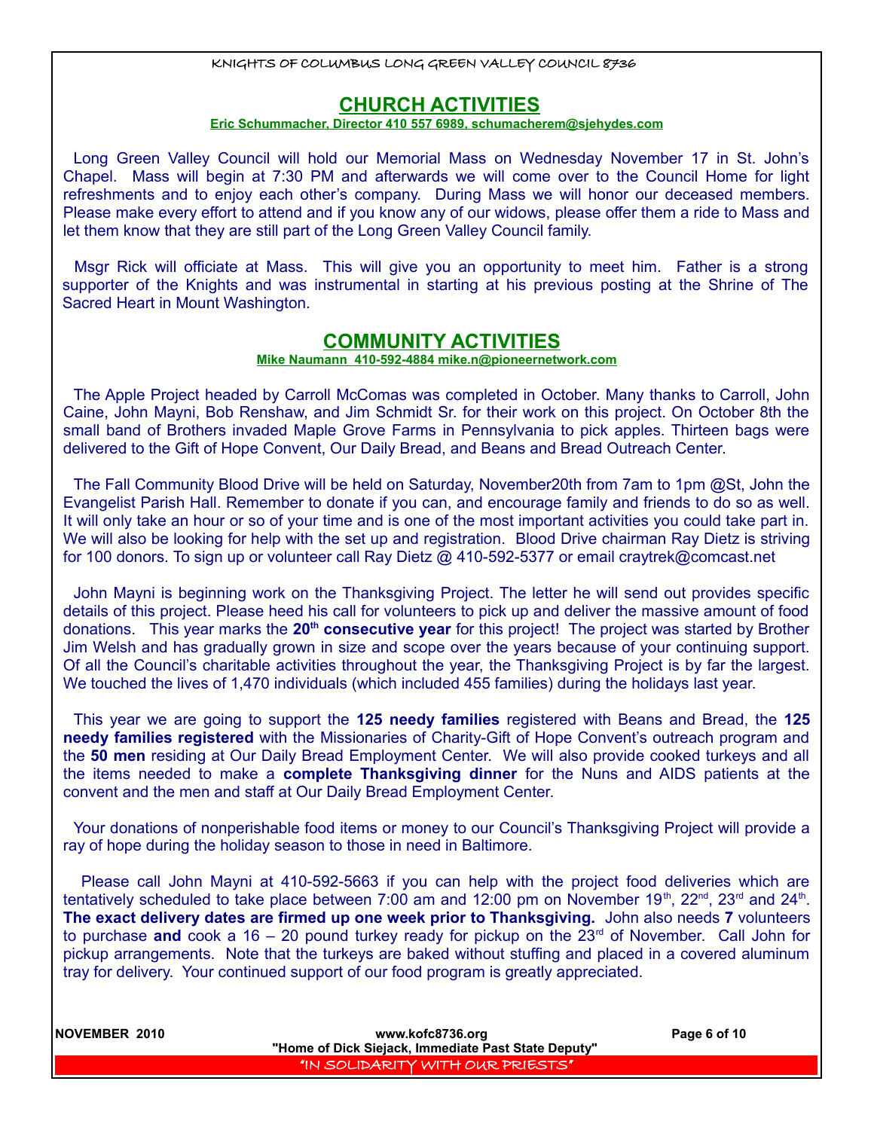### **CHURCH ACTIVITIES**

#### **Eric Schummacher, Director 410 557 6989, schumacherem@sjehydes.com**

Long Green Valley Council will hold our Memorial Mass on Wednesday November 17 in St. John's Chapel. Mass will begin at 7:30 PM and afterwards we will come over to the Council Home for light refreshments and to enjoy each other's company. During Mass we will honor our deceased members. Please make every effort to attend and if you know any of our widows, please offer them a ride to Mass and let them know that they are still part of the Long Green Valley Council family.

Msgr Rick will officiate at Mass. This will give you an opportunity to meet him. Father is a strong supporter of the Knights and was instrumental in starting at his previous posting at the Shrine of The Sacred Heart in Mount Washington.

#### **COMMUNITY ACTIVITIES**

#### **Mike Naumann 410-592-4884 mike.n@pioneernetwork.com**

The Apple Project headed by Carroll McComas was completed in October. Many thanks to Carroll, John Caine, John Mayni, Bob Renshaw, and Jim Schmidt Sr. for their work on this project. On October 8th the small band of Brothers invaded Maple Grove Farms in Pennsylvania to pick apples. Thirteen bags were delivered to the Gift of Hope Convent, Our Daily Bread, and Beans and Bread Outreach Center.

The Fall Community Blood Drive will be held on Saturday, November20th from 7am to 1pm @St, John the Evangelist Parish Hall. Remember to donate if you can, and encourage family and friends to do so as well. It will only take an hour or so of your time and is one of the most important activities you could take part in. We will also be looking for help with the set up and registration. Blood Drive chairman Ray Dietz is striving for 100 donors. To sign up or volunteer call Ray Dietz @ 410-592-5377 or email craytrek@comcast.net

John Mayni is beginning work on the Thanksgiving Project. The letter he will send out provides specific details of this project. Please heed his call for volunteers to pick up and deliver the massive amount of food donations. This year marks the **20th consecutive year** for this project! The project was started by Brother Jim Welsh and has gradually grown in size and scope over the years because of your continuing support. Of all the Council's charitable activities throughout the year, the Thanksgiving Project is by far the largest. We touched the lives of 1,470 individuals (which included 455 families) during the holidays last year.

This year we are going to support the **125 needy families** registered with Beans and Bread, the **125 needy families registered** with the Missionaries of Charity-Gift of Hope Convent's outreach program and the **50 men** residing at Our Daily Bread Employment Center. We will also provide cooked turkeys and all the items needed to make a **complete Thanksgiving dinner** for the Nuns and AIDS patients at the convent and the men and staff at Our Daily Bread Employment Center.

Your donations of nonperishable food items or money to our Council's Thanksgiving Project will provide a ray of hope during the holiday season to those in need in Baltimore.

 Please call John Mayni at 410-592-5663 if you can help with the project food deliveries which are tentatively scheduled to take place between 7:00 am and 12:00 pm on November 19<sup>th</sup>, 22<sup>nd</sup>, 23<sup>rd</sup> and 24<sup>th</sup>. **The exact delivery dates are firmed up one week prior to Thanksgiving.** John also needs **7** volunteers to purchase **and** cook a 16 – 20 pound turkey ready for pickup on the  $23<sup>rd</sup>$  of November. Call John for pickup arrangements. Note that the turkeys are baked without stuffing and placed in a covered aluminum tray for delivery. Your continued support of our food program is greatly appreciated.

| NOVEMBER 2010 | www.kofc8736.org<br>"Home of Dick Siejack, Immediate Past State Deputy" | Page 6 of 10 |
|---------------|-------------------------------------------------------------------------|--------------|
|               | I "IN SOLIDARITY WITH OUR PRIESTS" I                                    |              |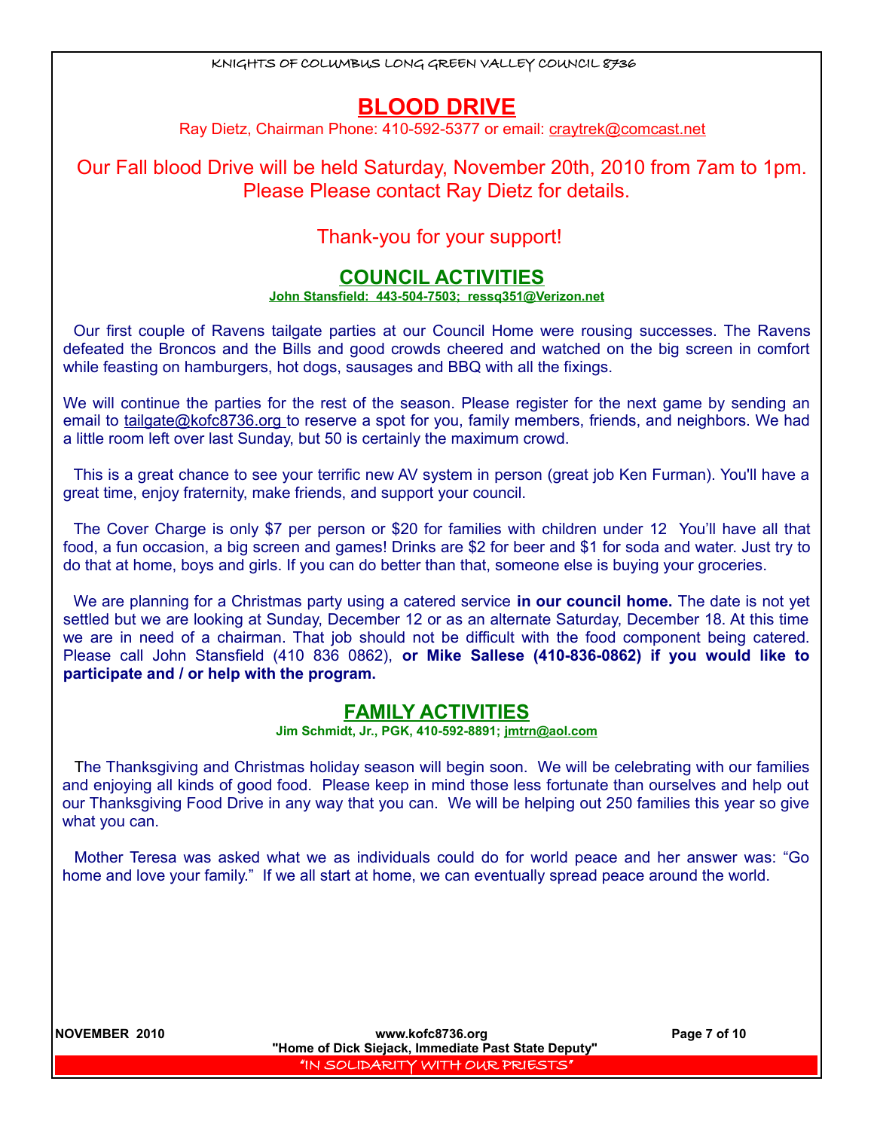# **BLOOD DRIVE**

Ray Dietz, Chairman Phone: 410-592-5377 or email: craytrek@comcast.net

Our Fall blood Drive will be held Saturday, November 20th, 2010 from 7am to 1pm. Please Please contact Ray Dietz for details.

### Thank-you for your support!

### **COUNCIL ACTIVITIES**

#### **John Stansfield: 443-504-7503; ressq351@Verizon.net**

Our first couple of Ravens tailgate parties at our Council Home were rousing successes. The Ravens defeated the Broncos and the Bills and good crowds cheered and watched on the big screen in comfort while feasting on hamburgers, hot dogs, sausages and BBQ with all the fixings.

We will continue the parties for the rest of the season. Please register for the next game by sending an email to [tailgate@kofc8736.org](mailto:tailgate@kofc8736.org) to reserve a spot for you, family members, friends, and neighbors. We had a little room left over last Sunday, but 50 is certainly the maximum crowd.

This is a great chance to see your terrific new AV system in person (great job Ken Furman). You'll have a great time, enjoy fraternity, make friends, and support your council.

The Cover Charge is only \$7 per person or \$20 for families with children under 12 You'll have all that food, a fun occasion, a big screen and games! Drinks are \$2 for beer and \$1 for soda and water. Just try to do that at home, boys and girls. If you can do better than that, someone else is buying your groceries.

We are planning for a Christmas party using a catered service **in our council home.** The date is not yet settled but we are looking at Sunday, December 12 or as an alternate Saturday, December 18. At this time we are in need of a chairman. That job should not be difficult with the food component being catered. Please call John Stansfield (410 836 0862), **or Mike Sallese (410-836-0862) if you would like to participate and / or help with the program.**

### **FAMILY ACTIVITIES**

**Jim Schmidt, Jr., PGK, 410-592-8891; jmtrn@aol.com**

The Thanksgiving and Christmas holiday season will begin soon. We will be celebrating with our families and enjoying all kinds of good food. Please keep in mind those less fortunate than ourselves and help out our Thanksgiving Food Drive in any way that you can. We will be helping out 250 families this year so give what you can.

Mother Teresa was asked what we as individuals could do for world peace and her answer was: "Go home and love your family." If we all start at home, we can eventually spread peace around the world.

**NOVEMBER 2010 www.kofc8736.org Page 7 of 10 "Home of Dick Siejack, Immediate Past State Deputy"**  "IN SOLIDARITY WITH OUR PRIESTS"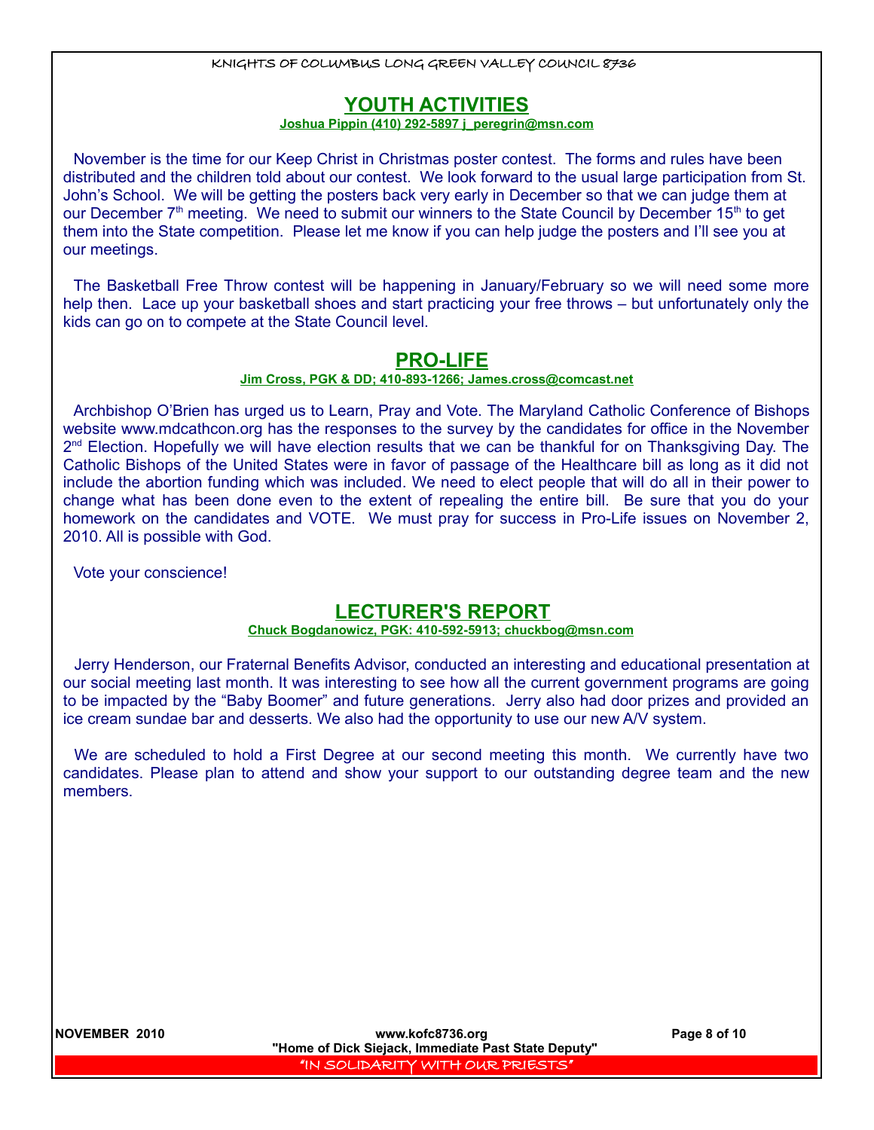### **YOUTH ACTIVITIES**

#### **Joshua Pippin (410) 292-5897 j\_peregrin@msn.com**

November is the time for our Keep Christ in Christmas poster contest. The forms and rules have been distributed and the children told about our contest. We look forward to the usual large participation from St. John's School. We will be getting the posters back very early in December so that we can judge them at our December  $7<sup>th</sup>$  meeting. We need to submit our winners to the State Council by December 15<sup>th</sup> to get them into the State competition. Please let me know if you can help judge the posters and I'll see you at our meetings.

The Basketball Free Throw contest will be happening in January/February so we will need some more help then. Lace up your basketball shoes and start practicing your free throws – but unfortunately only the kids can go on to compete at the State Council level.

### **PRO-LIFE**

#### **Jim Cross, PGK & DD; 410-893-1266; [James.cross@comcast.net](mailto:James.cross@comcast.net)**

Archbishop O'Brien has urged us to Learn, Pray and Vote. The Maryland Catholic Conference of Bishops website www.mdcathcon.org has the responses to the survey by the candidates for office in the November 2<sup>nd</sup> Election. Hopefully we will have election results that we can be thankful for on Thanksgiving Day. The Catholic Bishops of the United States were in favor of passage of the Healthcare bill as long as it did not include the abortion funding which was included. We need to elect people that will do all in their power to change what has been done even to the extent of repealing the entire bill. Be sure that you do your homework on the candidates and VOTE. We must pray for success in Pro-Life issues on November 2, 2010. All is possible with God.

Vote your conscience!

### **LECTURER'S REPORT**

#### **Chuck Bogdanowicz, PGK: 410-592-5913; chuckbog@msn.com**

Jerry Henderson, our Fraternal Benefits Advisor, conducted an interesting and educational presentation at our social meeting last month. It was interesting to see how all the current government programs are going to be impacted by the "Baby Boomer" and future generations. Jerry also had door prizes and provided an ice cream sundae bar and desserts. We also had the opportunity to use our new A/V system.

We are scheduled to hold a First Degree at our second meeting this month. We currently have two candidates. Please plan to attend and show your support to our outstanding degree team and the new members.

**NOVEMBER 2010 www.kofc8736.org Page 8 of 10 "Home of Dick Siejack, Immediate Past State Deputy"**  "IN SOLIDARITY WITH OUR PRIESTS"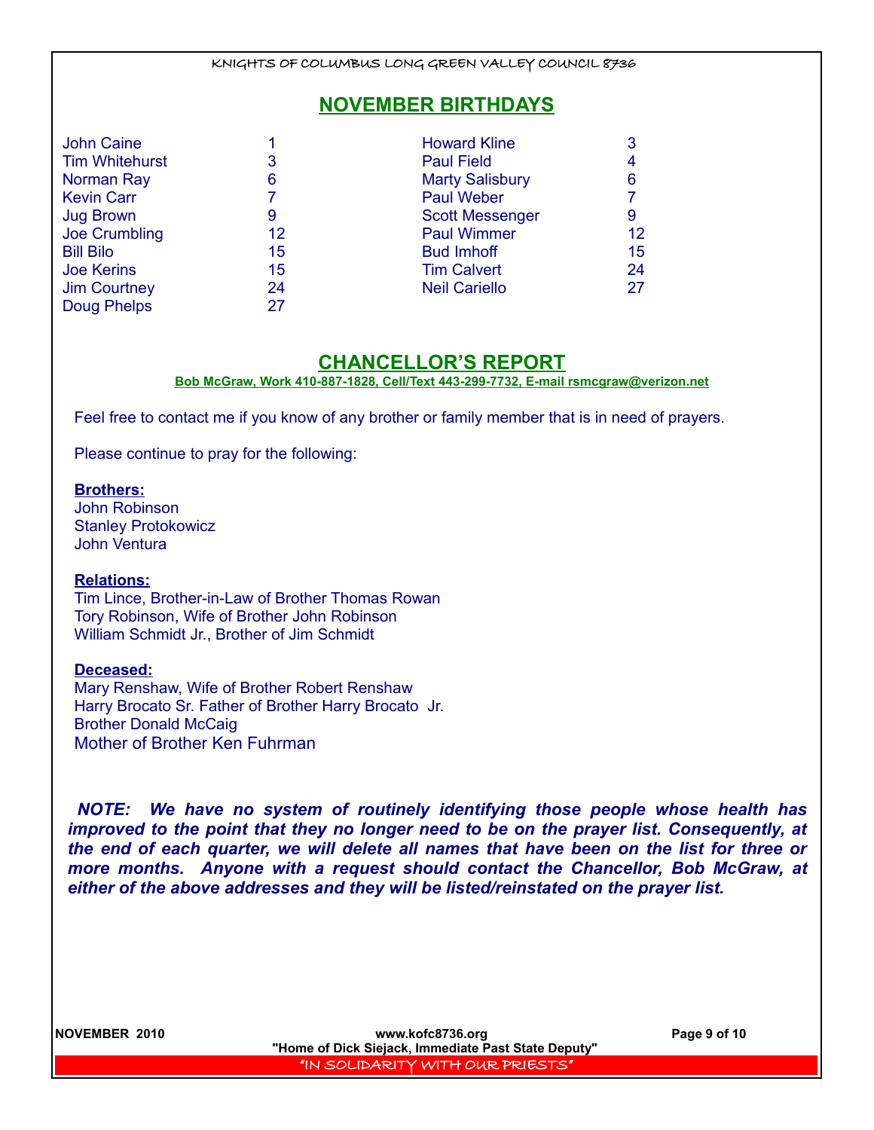### **NOVEMBER BIRTHDAYS**

| <b>John Caine</b>     |                   | <b>Howard Kline</b>    |    |
|-----------------------|-------------------|------------------------|----|
| <b>Tim Whitehurst</b> | 3                 | <b>Paul Field</b>      |    |
| Norman Ray            | 6                 | <b>Marty Salisbury</b> | 6  |
| <b>Kevin Carr</b>     |                   | <b>Paul Weber</b>      |    |
| <b>Jug Brown</b>      | 9                 | <b>Scott Messenger</b> | 9  |
| Joe Crumbling         | $12 \overline{ }$ | <b>Paul Wimmer</b>     | 12 |
| <b>Bill Bilo</b>      | 15                | <b>Bud Imhoff</b>      | 15 |
| <b>Joe Kerins</b>     | 15                | <b>Tim Calvert</b>     | 24 |
| <b>Jim Courtney</b>   | 24                | <b>Neil Cariello</b>   | 27 |
| Doug Phelps           | 27                |                        |    |

### **CHANCELLOR'S REPORT**

**Bob McGraw, Work 410-887-1828, Cell/Text 443-299-7732, E-mail rsmcgraw@verizon.net**

Feel free to contact me if you know of any brother or family member that is in need of prayers.

Please continue to pray for the following:

#### **Brothers:**

John Robinson Stanley Protokowicz John Ventura

#### **Relations:**

Tim Lince, Brother-in-Law of Brother Thomas Rowan Tory Robinson, Wife of Brother John Robinson William Schmidt Jr., Brother of Jim Schmidt

#### **Deceased:**

Mary Renshaw, Wife of Brother Robert Renshaw Harry Brocato Sr. Father of Brother Harry Brocato Jr. Brother Donald McCaig Mother of Brother Ken Fuhrman

*NOTE: We have no system of routinely identifying those people whose health has improved to the point that they no longer need to be on the prayer list. Consequently, at the end of each quarter, we will delete all names that have been on the list for three or more months. Anyone with a request should contact the Chancellor, Bob McGraw, at either of the above addresses and they will be listed/reinstated on the prayer list.* 

**NOVEMBER 2010 www.kofc8736.org Page 9 of 10 "Home of Dick Siejack, Immediate Past State Deputy"**  "IN SOLIDARITY WITH OUR PRIESTS"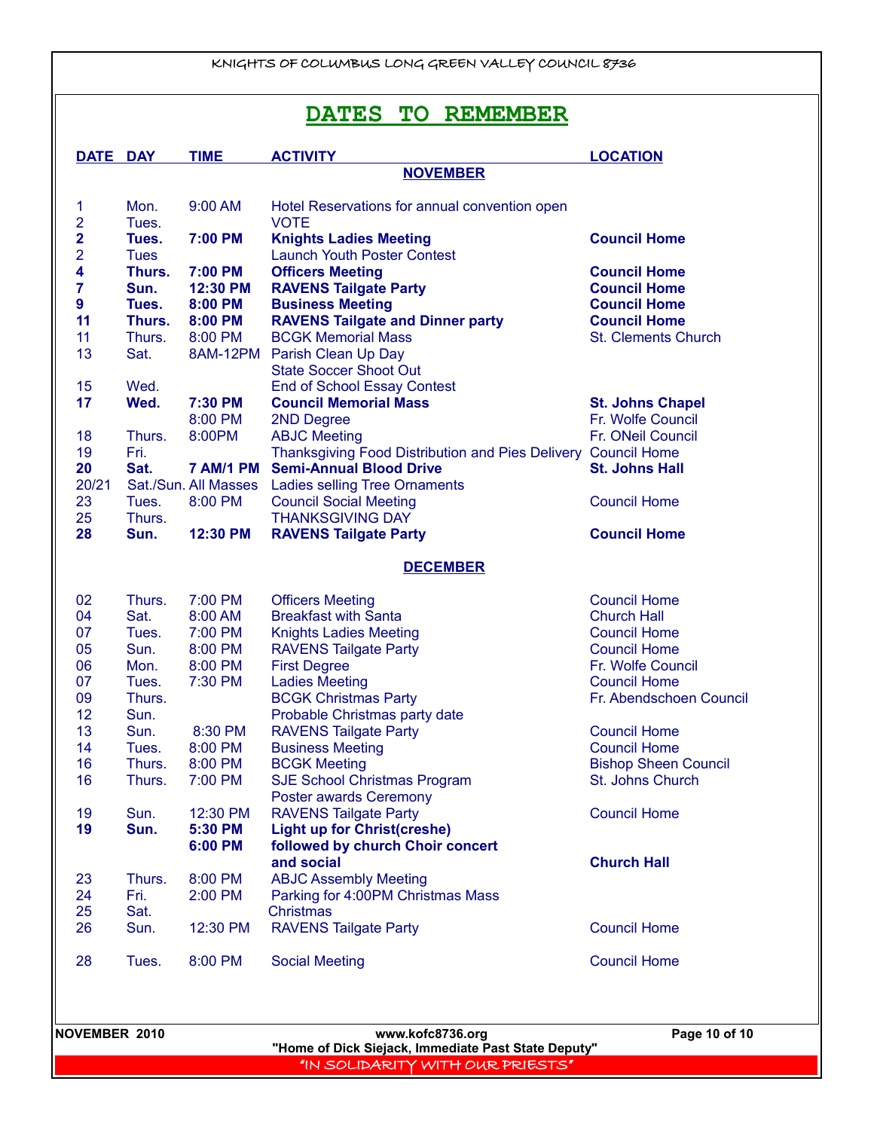# **DATES TO REMEMBER**

|                         | DATE DAY    | <b>TIME</b> | <b>ACTIVITY</b>                                                                      | <b>LOCATION</b>             |
|-------------------------|-------------|-------------|--------------------------------------------------------------------------------------|-----------------------------|
|                         |             |             | <b>NOVEMBER</b>                                                                      |                             |
| 1                       | Mon.        | 9:00 AM     | Hotel Reservations for annual convention open                                        |                             |
| 2                       | Tues.       |             | <b>VOTE</b>                                                                          |                             |
| $\overline{\mathbf{2}}$ | Tues.       | 7:00 PM     | <b>Knights Ladies Meeting</b>                                                        | <b>Council Home</b>         |
| 2                       | <b>Tues</b> |             | <b>Launch Youth Poster Contest</b>                                                   |                             |
| 4                       | Thurs.      | 7:00 PM     | <b>Officers Meeting</b>                                                              | <b>Council Home</b>         |
| 7                       | Sun.        | 12:30 PM    | <b>RAVENS Tailgate Party</b>                                                         | <b>Council Home</b>         |
| 9                       | Tues.       | 8:00 PM     | <b>Business Meeting</b>                                                              | <b>Council Home</b>         |
| 11                      | Thurs.      | 8:00 PM     | <b>RAVENS Tailgate and Dinner party</b>                                              | <b>Council Home</b>         |
| 11                      | Thurs.      | 8:00 PM     | <b>BCGK Memorial Mass</b>                                                            | <b>St. Clements Church</b>  |
| 13                      | Sat.        |             | 8AM-12PM Parish Clean Up Day                                                         |                             |
|                         |             |             | <b>State Soccer Shoot Out</b>                                                        |                             |
| 15                      | Wed.        |             | <b>End of School Essay Contest</b>                                                   |                             |
| 17                      | Wed.        | 7:30 PM     | <b>Council Memorial Mass</b>                                                         | <b>St. Johns Chapel</b>     |
|                         |             | 8:00 PM     | 2ND Degree                                                                           | Fr. Wolfe Council           |
| 18                      | Thurs.      | 8:00PM      |                                                                                      | Fr. ONeil Council           |
|                         | Fri.        |             | <b>ABJC Meeting</b><br>Thanksgiving Food Distribution and Pies Delivery Council Home |                             |
| 19<br>20                | Sat.        |             | 7 AM/1 PM Semi-Annual Blood Drive                                                    | <b>St. Johns Hall</b>       |
|                         |             |             |                                                                                      |                             |
| 20/21                   |             |             | Sat./Sun. All Masses Ladies selling Tree Ornaments                                   |                             |
| 23                      | Tues.       | 8:00 PM     | <b>Council Social Meeting</b>                                                        | <b>Council Home</b>         |
| 25                      | Thurs.      |             | <b>THANKSGIVING DAY</b>                                                              |                             |
| 28                      | Sun.        | 12:30 PM    | <b>RAVENS Tailgate Party</b>                                                         | <b>Council Home</b>         |
|                         |             |             | <b>DECEMBER</b>                                                                      |                             |
| 02                      | Thurs.      | 7:00 PM     | <b>Officers Meeting</b>                                                              | <b>Council Home</b>         |
| 04                      | Sat.        | 8:00 AM     | <b>Breakfast with Santa</b>                                                          | <b>Church Hall</b>          |
| 07                      | Tues.       | 7:00 PM     | <b>Knights Ladies Meeting</b>                                                        | <b>Council Home</b>         |
| 05                      | Sun.        | 8:00 PM     | <b>RAVENS Tailgate Party</b>                                                         | <b>Council Home</b>         |
| 06                      | Mon.        | 8:00 PM     | <b>First Degree</b>                                                                  | Fr. Wolfe Council           |
| 07                      | Tues.       | 7:30 PM     | <b>Ladies Meeting</b>                                                                | <b>Council Home</b>         |
| 09                      | Thurs.      |             | <b>BCGK Christmas Party</b>                                                          | Fr. Abendschoen Council     |
| 12                      | Sun.        |             | Probable Christmas party date                                                        |                             |
| 13                      | Sun.        | 8:30 PM     | <b>RAVENS Tailgate Party</b>                                                         | <b>Council Home</b>         |
| 14                      | Tues.       | 8:00 PM     | <b>Business Meeting</b>                                                              | <b>Council Home</b>         |
| 16                      | Thurs.      | 8:00 PM     | <b>BCGK Meeting</b>                                                                  | <b>Bishop Sheen Council</b> |
| 16                      | Thurs.      | 7:00 PM     | <b>SJE School Christmas Program</b>                                                  | St. Johns Church            |
|                         |             |             |                                                                                      |                             |
| 19                      |             | 12:30 PM    | <b>Poster awards Ceremony</b><br><b>RAVENS Tailgate Party</b>                        | <b>Council Home</b>         |
| 19                      | Sun.        |             | <b>Light up for Christ(creshe)</b>                                                   |                             |
|                         | Sun.        | 5:30 PM     |                                                                                      |                             |
|                         |             | 6:00 PM     | followed by church Choir concert                                                     |                             |
|                         |             |             | and social                                                                           | <b>Church Hall</b>          |
| 23                      | Thurs.      | 8:00 PM     | <b>ABJC Assembly Meeting</b>                                                         |                             |
| 24                      | Fri.        | 2:00 PM     | Parking for 4:00PM Christmas Mass                                                    |                             |
| 25                      | Sat.        |             | Christmas                                                                            |                             |
| 26                      | Sun.        | 12:30 PM    | <b>RAVENS Tailgate Party</b>                                                         | <b>Council Home</b>         |
| 28                      | Tues.       | 8:00 PM     | <b>Social Meeting</b>                                                                | <b>Council Home</b>         |
|                         |             |             |                                                                                      |                             |
|                         |             |             | www.kofc8736.org                                                                     | Page 10 of 10               |
| <b>NOVEMBER 2010</b>    |             |             |                                                                                      |                             |